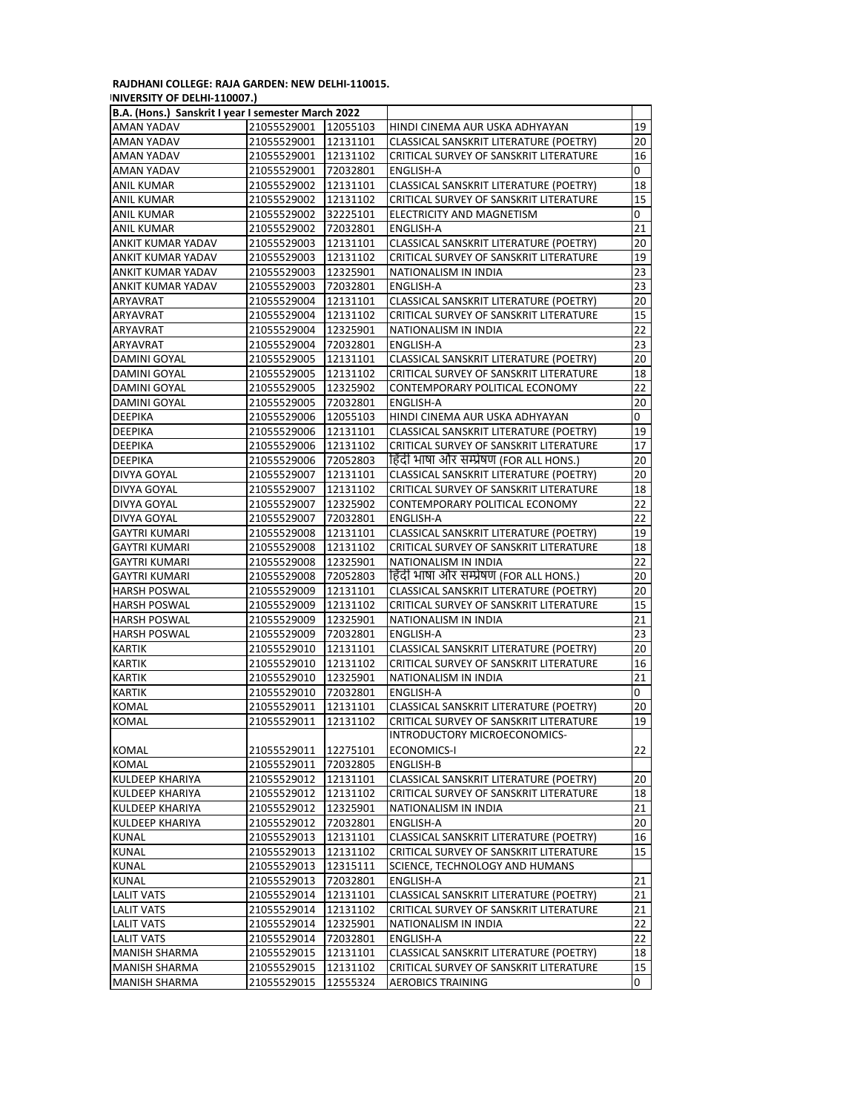## **RAJDHANI COLLEGE: RAJA GARDEN: NEW DELHI-110015.**

| INIVERSITY OF DELHI-110007.)              |
|-------------------------------------------|
| D.A. (Hone ), Concluit Lugar Leomoctor N. |

| B.A. (Hons.) Sanskrit I year I semester March 2022 |             |          |                                         |    |
|----------------------------------------------------|-------------|----------|-----------------------------------------|----|
| AMAN YADAV                                         | 21055529001 | 12055103 | HINDI CINEMA AUR USKA ADHYAYAN          | 19 |
| AMAN YADAV                                         | 21055529001 | 12131101 | CLASSICAL SANSKRIT LITERATURE (POETRY)  | 20 |
| AMAN YADAV                                         | 21055529001 | 12131102 | CRITICAL SURVEY OF SANSKRIT LITERATURE  | 16 |
| AMAN YADAV                                         | 21055529001 | 72032801 | ENGLISH-A                               | 0  |
| <b>ANIL KUMAR</b>                                  | 21055529002 | 12131101 | CLASSICAL SANSKRIT LITERATURE (POETRY)  | 18 |
| ANIL KUMAR                                         | 21055529002 | 12131102 | CRITICAL SURVEY OF SANSKRIT LITERATURE  | 15 |
| ANIL KUMAR                                         | 21055529002 | 32225101 | ELECTRICITY AND MAGNETISM               | 0  |
| ANIL KUMAR                                         | 21055529002 | 72032801 | ENGLISH-A                               | 21 |
| ANKIT KUMAR YADAV                                  | 21055529003 | 12131101 | CLASSICAL SANSKRIT LITERATURE (POETRY)  | 20 |
| ANKIT KUMAR YADAV                                  | 21055529003 | 12131102 | CRITICAL SURVEY OF SANSKRIT LITERATURE  | 19 |
| ANKIT KUMAR YADAV                                  | 21055529003 | 12325901 | NATIONALISM IN INDIA                    | 23 |
| ANKIT KUMAR YADAV                                  | 21055529003 | 72032801 | ENGLISH-A                               | 23 |
| ARYAVRAT                                           | 21055529004 | 12131101 | CLASSICAL SANSKRIT LITERATURE (POETRY)  | 20 |
| ARYAVRAT                                           | 21055529004 | 12131102 | CRITICAL SURVEY OF SANSKRIT LITERATURE  | 15 |
| ARYAVRAT                                           | 21055529004 | 12325901 | NATIONALISM IN INDIA                    | 22 |
| ARYAVRAT                                           | 21055529004 | 72032801 | <b>ENGLISH-A</b>                        | 23 |
| DAMINI GOYAL                                       | 21055529005 | 12131101 | CLASSICAL SANSKRIT LITERATURE (POETRY)  | 20 |
| DAMINI GOYAL                                       | 21055529005 | 12131102 | CRITICAL SURVEY OF SANSKRIT LITERATURE  | 18 |
| DAMINI GOYAL                                       | 21055529005 | 12325902 | CONTEMPORARY POLITICAL ECONOMY          | 22 |
| DAMINI GOYAL                                       | 21055529005 | 72032801 | ENGLISH-A                               | 20 |
| DEEPIKA                                            | 21055529006 | 12055103 | HINDI CINEMA AUR USKA ADHYAYAN          | 0  |
| <b>DEEPIKA</b>                                     | 21055529006 | 12131101 | CLASSICAL SANSKRIT LITERATURE (POETRY)  | 19 |
| DEEPIKA                                            | 21055529006 | 12131102 | CRITICAL SURVEY OF SANSKRIT LITERATURE  | 17 |
| DEEPIKA                                            | 21055529006 | 72052803 | हिंदी भाषा और सम्प्रेषण (FOR ALL HONS.) | 20 |
| DIVYA GOYAL                                        | 21055529007 | 12131101 | CLASSICAL SANSKRIT LITERATURE (POETRY)  | 20 |
| <b>DIVYA GOYAL</b>                                 | 21055529007 | 12131102 | CRITICAL SURVEY OF SANSKRIT LITERATURE  | 18 |
|                                                    | 21055529007 | 12325902 | CONTEMPORARY POLITICAL ECONOMY          | 22 |
| DIVYA GOYAL                                        |             |          |                                         | 22 |
| DIVYA GOYAL                                        | 21055529007 | 72032801 | <b>ENGLISH-A</b>                        |    |
| GAYTRI KUMARI                                      | 21055529008 | 12131101 | CLASSICAL SANSKRIT LITERATURE (POETRY)  | 19 |
| GAYTRI KUMARI                                      | 21055529008 | 12131102 | CRITICAL SURVEY OF SANSKRIT LITERATURE  | 18 |
| GAYTRI KUMARI                                      | 21055529008 | 12325901 | NATIONALISM IN INDIA                    | 22 |
| GAYTRI KUMARI                                      | 21055529008 | 72052803 | हिंदी भाषा और सम्प्रेषण (FOR ALL HONS.) | 20 |
| <b>HARSH POSWAL</b>                                | 21055529009 | 12131101 | CLASSICAL SANSKRIT LITERATURE (POETRY)  | 20 |
| HARSH POSWAL                                       | 21055529009 | 12131102 | CRITICAL SURVEY OF SANSKRIT LITERATURE  | 15 |
| <b>HARSH POSWAL</b>                                | 21055529009 | 12325901 | NATIONALISM IN INDIA                    | 21 |
| <b>HARSH POSWAL</b>                                | 21055529009 | 72032801 | <b>ENGLISH-A</b>                        | 23 |
| KARTIK                                             | 21055529010 | 12131101 | CLASSICAL SANSKRIT LITERATURE (POETRY)  | 20 |
| KARTIK                                             | 21055529010 | 12131102 | CRITICAL SURVEY OF SANSKRIT LITERATURE  | 16 |
| KARTIK                                             | 21055529010 | 12325901 | NATIONALISM IN INDIA                    | 21 |
| KARTIK                                             | 21055529010 | 72032801 | ENGLISH-A                               | 0  |
| KOMAL                                              | 21055529011 | 12131101 | CLASSICAL SANSKRIT LITERATURE (POETRY)  | 20 |
| KOMAL                                              | 21055529011 | 12131102 | CRITICAL SURVEY OF SANSKRIT LITERATURE  | 19 |
|                                                    |             |          | INTRODUCTORY MICROECONOMICS-            |    |
| KOMAL                                              | 21055529011 | 12275101 | <b>ECONOMICS-I</b>                      | 22 |
| KOMAL                                              | 21055529011 | 72032805 | ENGLISH-B                               |    |
| KULDEEP KHARIYA                                    | 21055529012 | 12131101 | CLASSICAL SANSKRIT LITERATURE (POETRY)  | 20 |
| KULDEEP KHARIYA                                    | 21055529012 | 12131102 | CRITICAL SURVEY OF SANSKRIT LITERATURE  | 18 |
| KULDEEP KHARIYA                                    | 21055529012 | 12325901 | NATIONALISM IN INDIA                    | 21 |
| KULDEEP KHARIYA                                    | 21055529012 | 72032801 | ENGLISH-A                               | 20 |
| KUNAL                                              | 21055529013 | 12131101 | CLASSICAL SANSKRIT LITERATURE (POETRY)  | 16 |
| <b>KUNAL</b>                                       | 21055529013 | 12131102 | CRITICAL SURVEY OF SANSKRIT LITERATURE  | 15 |
| KUNAL                                              | 21055529013 | 12315111 | SCIENCE, TECHNOLOGY AND HUMANS          |    |
| KUNAL                                              | 21055529013 | 72032801 | <b>ENGLISH-A</b>                        | 21 |
| <b>LALIT VATS</b>                                  | 21055529014 | 12131101 | CLASSICAL SANSKRIT LITERATURE (POETRY)  | 21 |
| <b>LALIT VATS</b>                                  | 21055529014 | 12131102 | CRITICAL SURVEY OF SANSKRIT LITERATURE  | 21 |
| LALIT VATS                                         | 21055529014 | 12325901 | NATIONALISM IN INDIA                    | 22 |
| LALIT VATS                                         | 21055529014 | 72032801 | ENGLISH-A                               | 22 |
| <b>MANISH SHARMA</b>                               | 21055529015 | 12131101 | CLASSICAL SANSKRIT LITERATURE (POETRY)  | 18 |
| MANISH SHARMA                                      | 21055529015 | 12131102 | CRITICAL SURVEY OF SANSKRIT LITERATURE  | 15 |
| <b>MANISH SHARMA</b>                               | 21055529015 | 12555324 | <b>AEROBICS TRAINING</b>                | 0  |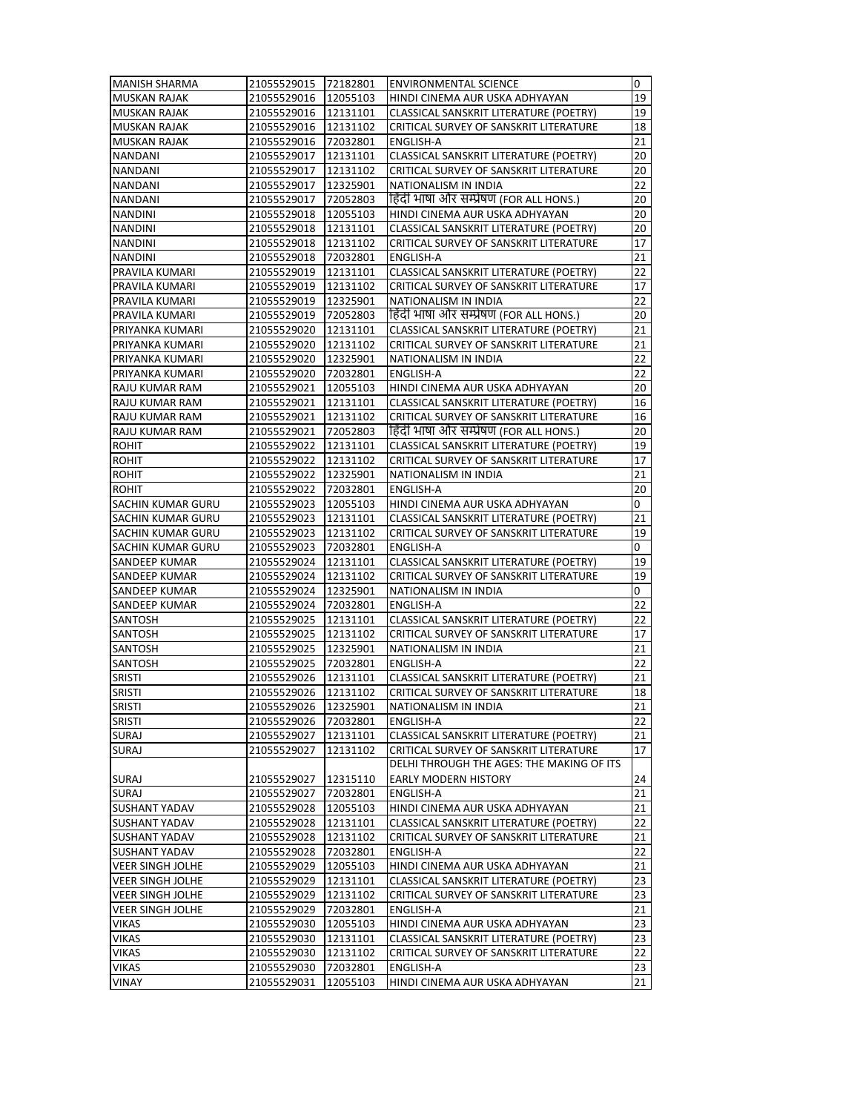| <b>MANISH SHARMA</b>     | 21055529015          | 72182801 | <b>ENVIRONMENTAL SCIENCE</b>              | 0               |
|--------------------------|----------------------|----------|-------------------------------------------|-----------------|
| <b>MUSKAN RAJAK</b>      | 21055529016          | 12055103 | HINDI CINEMA AUR USKA ADHYAYAN            | 19              |
| <b>MUSKAN RAJAK</b>      | 21055529016          | 12131101 | CLASSICAL SANSKRIT LITERATURE (POETRY)    | 19              |
| <b>MUSKAN RAJAK</b>      | 21055529016          | 12131102 | CRITICAL SURVEY OF SANSKRIT LITERATURE    | 18              |
| <b>MUSKAN RAJAK</b>      | 21055529016          | 72032801 | <b>ENGLISH-A</b>                          | 21              |
| <b>NANDANI</b>           | 21055529017          | 12131101 | CLASSICAL SANSKRIT LITERATURE (POETRY)    | 20              |
| <b>NANDANI</b>           | 21055529017          | 12131102 | CRITICAL SURVEY OF SANSKRIT LITERATURE    | 20              |
| <b>NANDANI</b>           | 21055529017          | 12325901 | NATIONALISM IN INDIA                      | 22              |
| <b>NANDANI</b>           | 21055529017          | 72052803 | हिंदी भाषा और सम्प्रेषण (FOR ALL HONS.)   | 20              |
| <b>NANDINI</b>           | 21055529018          | 12055103 | HINDI CINEMA AUR USKA ADHYAYAN            | 20              |
| <b>NANDINI</b>           | 21055529018          | 12131101 | CLASSICAL SANSKRIT LITERATURE (POETRY)    | 20              |
| <b>NANDINI</b>           | 21055529018          | 12131102 | CRITICAL SURVEY OF SANSKRIT LITERATURE    | 17              |
| <b>NANDINI</b>           | 21055529018          | 72032801 | ENGLISH-A                                 | 21              |
| PRAVILA KUMARI           | 21055529019          | 12131101 | CLASSICAL SANSKRIT LITERATURE (POETRY)    | 22              |
| PRAVILA KUMARI           | 21055529019          | 12131102 | CRITICAL SURVEY OF SANSKRIT LITERATURE    | 17              |
| PRAVILA KUMARI           | 21055529019          | 12325901 | NATIONALISM IN INDIA                      | 22              |
| PRAVILA KUMARI           | 21055529019          | 72052803 | हिंदी भाषा और सम्प्रेषण (FOR ALL HONS.)   | 20              |
| PRIYANKA KUMARI          | 21055529020          | 12131101 | CLASSICAL SANSKRIT LITERATURE (POETRY)    | 21              |
| PRIYANKA KUMARI          | 21055529020          | 12131102 | CRITICAL SURVEY OF SANSKRIT LITERATURE    | 21              |
| PRIYANKA KUMARI          | 21055529020          | 12325901 | NATIONALISM IN INDIA                      | $\overline{22}$ |
| PRIYANKA KUMARI          | 21055529020          | 72032801 | <b>ENGLISH-A</b>                          | 22              |
| RAJU KUMAR RAM           | 21055529021          | 12055103 | HINDI CINEMA AUR USKA ADHYAYAN            | 20              |
| RAJU KUMAR RAM           | 21055529021          | 12131101 | CLASSICAL SANSKRIT LITERATURE (POETRY)    | 16              |
| RAJU KUMAR RAM           | 21055529021          | 12131102 | CRITICAL SURVEY OF SANSKRIT LITERATURE    | 16              |
| RAJU KUMAR RAM           | 21055529021          | 72052803 | हिंदी भाषा और सम्प्रेषण (FOR ALL HONS.)   | 20              |
| <b>ROHIT</b>             | 21055529022          | 12131101 | CLASSICAL SANSKRIT LITERATURE (POETRY)    | 19              |
| <b>ROHIT</b>             | 21055529022          | 12131102 | CRITICAL SURVEY OF SANSKRIT LITERATURE    | 17              |
| <b>ROHIT</b>             | 21055529022          | 12325901 | NATIONALISM IN INDIA                      | 21              |
| <b>ROHIT</b>             | 21055529022          | 72032801 | <b>ENGLISH-A</b>                          | 20              |
| <b>SACHIN KUMAR GURU</b> |                      |          | HINDI CINEMA AUR USKA ADHYAYAN            | 0               |
|                          | 21055529023          | 12055103 |                                           | 21              |
| SACHIN KUMAR GURU        | 21055529023          | 12131101 | CLASSICAL SANSKRIT LITERATURE (POETRY)    |                 |
| SACHIN KUMAR GURU        | 21055529023          | 12131102 | CRITICAL SURVEY OF SANSKRIT LITERATURE    | 19              |
| SACHIN KUMAR GURU        | 21055529023          | 72032801 | ENGLISH-A                                 | 0               |
| <b>SANDEEP KUMAR</b>     | 21055529024          | 12131101 | CLASSICAL SANSKRIT LITERATURE (POETRY)    | 19              |
| SANDEEP KUMAR            | 21055529024          | 12131102 | CRITICAL SURVEY OF SANSKRIT LITERATURE    | 19              |
| SANDEEP KUMAR            | 21055529024          | 12325901 | NATIONALISM IN INDIA                      | 0<br>22         |
| SANDEEP KUMAR            | 21055529024          | 72032801 | ENGLISH-A                                 |                 |
| SANTOSH                  | 21055529025          | 12131101 | CLASSICAL SANSKRIT LITERATURE (POETRY)    | 22              |
| SANTOSH                  | 21055529025          | 12131102 | CRITICAL SURVEY OF SANSKRIT LITERATURE    | 17              |
| SANTOSH                  | 21055529025          | 12325901 | NATIONALISM IN INDIA                      | 21              |
| <b>SANTOSH</b>           | 21055529025          | 72032801 | ENGLISH-A                                 | 22              |
| <b>SRISTI</b>            | 21055529026          | 12131101 | CLASSICAL SANSKRIT LITERATURE (POETRY)    | 21              |
| <b>SRISTI</b>            | 21055529026          | 12131102 | CRITICAL SURVEY OF SANSKRIT LITERATURE    | 18              |
| <b>SRISTI</b>            | 21055529026 12325901 |          | NATIONALISM IN INDIA                      | 21              |
| <b>SRISTI</b>            | 21055529026          | 72032801 | ENGLISH-A                                 | 22              |
| <b>SURAJ</b>             | 21055529027          | 12131101 | CLASSICAL SANSKRIT LITERATURE (POETRY)    | 21              |
| <b>SURAJ</b>             | 21055529027          | 12131102 | CRITICAL SURVEY OF SANSKRIT LITERATURE    | 17              |
|                          |                      |          | DELHI THROUGH THE AGES: THE MAKING OF ITS |                 |
| <b>SURAJ</b>             | 21055529027          | 12315110 | <b>EARLY MODERN HISTORY</b>               | 24              |
| <b>SURAJ</b>             | 21055529027          | 72032801 | ENGLISH-A                                 | 21              |
| <b>SUSHANT YADAV</b>     | 21055529028          | 12055103 | HINDI CINEMA AUR USKA ADHYAYAN            | 21              |
| <b>SUSHANT YADAV</b>     | 21055529028          | 12131101 | CLASSICAL SANSKRIT LITERATURE (POETRY)    | 22              |
| SUSHANT YADAV            | 21055529028          | 12131102 | CRITICAL SURVEY OF SANSKRIT LITERATURE    | 21              |
| SUSHANT YADAV            | 21055529028          | 72032801 | ENGLISH-A                                 | 22              |
| <b>VEER SINGH JOLHE</b>  | 21055529029          | 12055103 | HINDI CINEMA AUR USKA ADHYAYAN            | 21              |
| <b>VEER SINGH JOLHE</b>  | 21055529029          | 12131101 | CLASSICAL SANSKRIT LITERATURE (POETRY)    | 23              |
| <b>VEER SINGH JOLHE</b>  | 21055529029          | 12131102 | CRITICAL SURVEY OF SANSKRIT LITERATURE    | 23              |
| <b>VEER SINGH JOLHE</b>  | 21055529029          | 72032801 | ENGLISH-A                                 | 21              |
| <b>VIKAS</b>             | 21055529030          | 12055103 | HINDI CINEMA AUR USKA ADHYAYAN            | 23              |
| <b>VIKAS</b>             | 21055529030          | 12131101 | CLASSICAL SANSKRIT LITERATURE (POETRY)    | 23              |
| VIKAS                    | 21055529030          | 12131102 | CRITICAL SURVEY OF SANSKRIT LITERATURE    | 22              |
| <b>VIKAS</b>             | 21055529030          | 72032801 | ENGLISH-A                                 | 23              |
| VINAY                    | 21055529031          | 12055103 | HINDI CINEMA AUR USKA ADHYAYAN            | 21              |